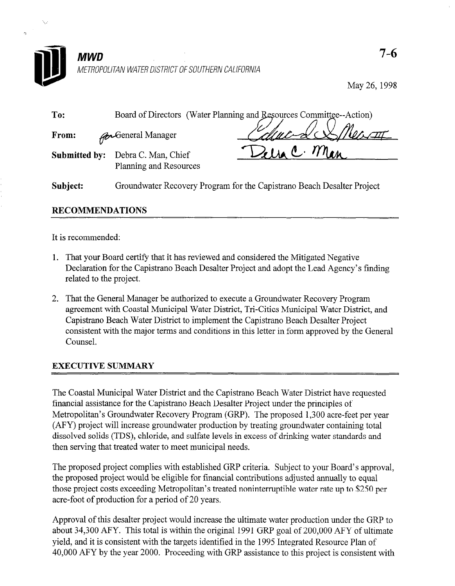

May 26,199s

| To:                  | Board of Directors (Water Planning and Resources Committee--Action)    |
|----------------------|------------------------------------------------------------------------|
| From:                | <b>A</b> Ceneral Manager                                               |
| <b>Submitted by:</b> | $114$ C. Mon<br>Debra C. Man, Chief<br>Planning and Resources          |
| Subject:             | Groundwater Recovery Program for the Capistrano Beach Desalter Project |

# RECOMMENDATIONS

It is recommended:

- 1. That your Board certify that it has reviewed and considered the Mitigated Negative Declaration for the Capistrano Beach Desalter Project and adopt the Lead Agency's finding related to the project.
- 2. That the General Manager be authorized to execute a Groundwater Recovery Program and the Octobri With Coastal Municipal Water District Accovery Displant agreement water Coastal Watterpart water District, TIP-Critics Wittingfart water District capistrato beach water bistrict to implement the capistratio beach besafter in foject consister

The Coastal Municipal Water District and the Capistrano Beach Water District have requested financial assistance for the Capistrano Beach Desalter Project under the principles of Metropolitan's Groundwater Recovery Program (GRP). The proposed 1,300 acre-feet per year (AFY) project will increase groundwater production by treating groundwater containing total dissolved solids (TDS), chloride, and sulfate levels in excess of drinking water standards and then serving that treated water to meet municipal needs.

The proposed project complies with established GRP criteria. Subject to your Board's approval. the proposed project would be eligible for financial contributions adjusted annually to equal those project costs exceeding Metropolitan's treated noninterruptible water rate up to \$250 per acre-foot of production for a period of 20 years.

Approval of this desalter project would increase the ultimate water production under the GRP to about 34,300 AFY. This total is within the original 1991 GRP goal of 200,000 AFY of ultimate yield, and it is consistent with the targets identified in the 1995 Integrated Resource Plan of 40,000 AFY by the year 2000. Proceeding with GRP assistance to this project is consistent with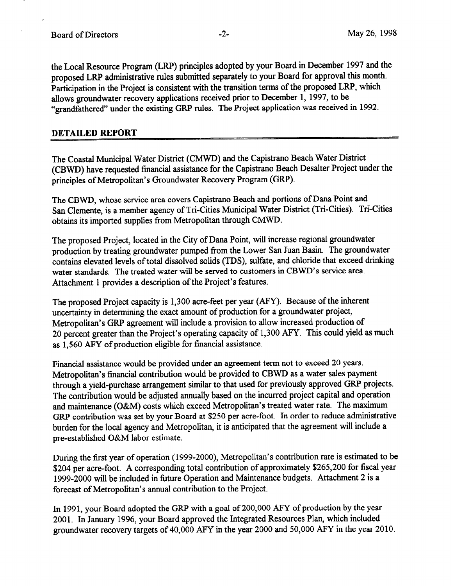the Local Resource Program (LRP) principles adopted by your Board in December 1997 and the proposed LRP administrative rules submitted separately to your Board for approval this month. Participation in the Project is consistent with the transition terms of the proposed LRP, which allows groundwater recovery applications received prior to December 1, 1997, to be "grandfathered" under the existing GRP rules. The Project application was received in 1992.

#### DETAILED REPORT

The Coastal Municipal Water District (CMWD) and the Capistrano Beach Water District (CBWD) have requested financial assistance for the Capistrano Beach Desalter Project under the principles of Metropolitan's Groundwater Recovery Program (GRP).

The CBWD, whose service area covers Capistrano Beach and portions of Dana Point and San Clemente, is a member agency of Tri-Cities Municipal Water District (Tri-Cities). Tri-Cities obtains its imported supplies from Metropolitan through CMWD.

The proposed Project, located in the City of Dana Point, will increase regional groundwater production by treating groundwater pumped from the Lower San Juan Basin. The groundwater contains elevated levels of total dissolved solids (IDS), sulfate, and chloride that exceed drinking water standards. The treated water will be served to customers in CBWD's service area. Attachment 1 provides a description of the Project's features.

The proposed Project capacity is 1,300 acre-feet per year (AFY). Because of the inherent uncertainty in determining the exact amount of production for a groundwater project, Metropolitan's GRP agreement will include a provision to allow increased production of 20 percent greater than the Project's operating capacity of 1,300 AFY. This could yield as much as 1,560 AFY of production eligible for financial assistance.

Financial assistance would be provided under an agreement term not to exceed 20 years. Metropolitan's financial contribution would be provided to CBWD as a water sales payment through a yield-purchase arrangement similar to that used for previously approved GRP projects. The contribution would be adjusted annually based on the incurred project capital and operation and maintenance (O&M) costs which exceed Metropolitan's treated water rate. The maximum GRP contribution was set by your Board at \$250 per acre-foot. In order to reduce administrative burden for the local agency and Metropolitan, it is anticipated that the agreement will include a pre-established O&M labor estimate.

During the first year of operation (1999-2000), Metropolitan's contribution rate is estimated to be \$204 per acre-foot. A corresponding total contribution of approximately \$265,200 for fiscal year 1999-2000 will be included in future Operation and Maintenance budgets. Attachment 2 is a forecast of Metropolitan's annual contribution to the Project.

In 1991, your Board adopted the GRP with a goal of 200,000 APY of production by the year 2001. In January 1996, your Board approved the Integrated Resources Plan, which included groundwater recovery targets of 40,000 AFY in the year 2000 and 50,000 AFY in the year 2010.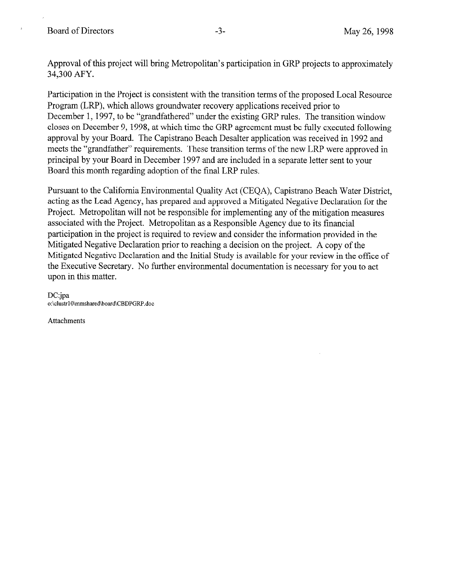$\Delta$ 

Approval of this project will bring Metropolitan's participation in GRP projects to approximately 34,300 AFY.

Participation in the Project is consistent with the transition terms of the proposed Local Resource Program (LRP), which allows groundwater recovery applications received prior to December 1, 1997, to be "grandfathered" under the existing GRP rules. The transition window closes on December 9, 1998, at which time the GRP agreement must be fully executed following approval by your Board. The Capistrano Beach Desalter application was received in 1992 and meets the "grandfather" requirements. These transition terms of the new LRP were approved in principal by your Board in December 1997 and are included in a separate letter sent to your Board this month regarding adoption of the final LRP rules.

Pursuant to the California Environmental Quality Act (CEQA), Capistrano Beach Water District, acting as the Lead Agency, has prepared and approved a Mitigated Negative Declaration for the Project. Metropolitan will not be responsible for implementing any of the mitigation measures associated with the Project. Metropolitan as a Responsible Agency due to its financial participation in the project is required to review and consider the information provided in the Mitigated Negative Declaration prior to reaching a decision on the project. A copy of the Mitigated Negative Declaration and the Initial Study is available for your review in the office of the Executive Secretary. No further environmental documentation is necessary for you to act upon in this matter.

DC:jpa o:\clustr10\mmshared\board\CBDPGRP.doc

Attachments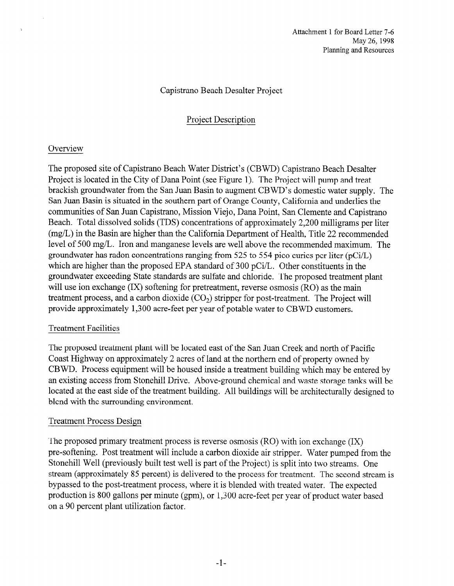## Capistrano Beach Desalter Project

# Project Description

## **Overview**

 $\ddot{\phantom{a}}$ 

The proposed site of Capistrano Beach Water District's (CBWD) Capistrano Beach Desalter Project is located in the City of Dana Point (see Figure 1). The Project will pump and treat brackish groundwater from the San Juan Basin to augment CBWD's domestic water supply. The San Juan Basin is situated in the southern part of Orange County, California and underlies the communities of San Juan Capistrano, Mission Viejo, Dana Point, San Clemente and Capistrano Beach. Total dissolved solids (TDS) concentrations of approximately 2,200 milligrams per liter (mg/L) in the Basin are higher than the California Department of Health, Title 22 recommended level of 500 mg/L. Iron and manganese levels are well above the recommended maximum. The groundwater has radon concentrations ranging from 525 to 554 pica curies per liter (pCi/L) which are higher than the proposed EPA standard of 300 pCi/L. Other constituents in the groundwater exceeding State standards are sulfate and chloride. The proposed treatment plant will use ion exchange (IX) softening for pretreatment, reverse osmosis (RO) as the main treatment process, and a carbon dioxide  $(CO<sub>2</sub>)$  stripper for post-treatment. The Project will provide approximately 1,300 acre-feet per year of potable water to CBWD customers.

## Treatment Facilities

The proposed treatment plant will be located east of the San Juan Creek and north of Pacific Coast Highway on approximately 2 acres of land at the northern end of property owned by CBWD. Process equipment will be housed inside a treatment building which may be entered by an existing access from Stonehill Drive. Above-ground chemical and waste storage tanks will be located at the east side of the treatment building. All buildings will be architecturally designed to blend with the surrounding environment.

### Treatment Process Design

The proposed primary treatment process is reverse osmosis (RO) with ion exchange (IX) pre-softening. Post treatment will include a carbon dioxide air stripper. Water pumped from the Stonehill Well (previously built test well is part of the Project) is split into two streams. One stream (approximately 85 percent) is delivered to the process for treatment. The second stream is bypassed to the post-treatment process, where it is blended with treated water. The expected production is 800 gallons per minute (gpm), or 1,300 acre-feet per year of product water based on a 90 percent plant utilization factor.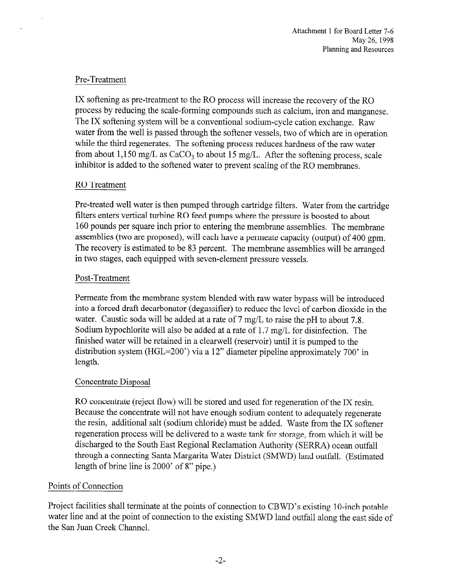# Pre-Treatment

IX softening as pre-treatment to the RO process will increase the recovery of the RO process by reducing the scale-forming compounds such as calcium, iron and manganese. The IX softening system will be a conventional sodium-cycle cation exchange. Raw water from the well is passed through the softener vessels, two of which are in operation while the third regenerates. The softening process reduces hardness of the raw water from about 1,150 mg/L as  $CaCO<sub>3</sub>$  to about 15 mg/L. After the softening process, scale inhibitor is added to the softened water to prevent scaling of the RO membranes.

## RO Treatment

Pre-treated well water is then pumped through cartridge filters. Water from the cartridge filters enters vertical turbine RO feed pumps where the pressure is boosted to about 160 pounds per square inch prior to entering the membrane assemblies. The membrane assemblies (two are proposed), will each have a permeate capacity (output) of 400 gpm. The recovery is estimated to be 83 percent. The membrane assemblies will be arranged in two stages, each equipped with seven-element pressure vessels.

# Post-Treatment

Permeate from the membrane system blended with raw water bypass will be introduced into a forced draft decarbonator (degassifier) to reduce the level of carbon dioxide in the water. Caustic soda will be added at a rate of 7 mg/L to raise the pH to about 7.8. Sodium hypochlorite will also be added at a rate of 1.7 mg/L for disinfection. The finished water will be retained in a clearwell (reservoir) until it is pumped to the distribution system (HGL=200') via a 12" diameter pipeline approximately 700' in length.

## Concentrate Disposal

RO concentrate (reject flow) will be stored and used for regeneration of the IX resin. Because the concentrate will not have enough sodium content to adequately regenerate the resin, additional salt (sodium chloride) must be added. Waste from the IX softener regeneration process will be delivered to a waste tank for storage, from which it will be discharged to the South East Regional Reclamation Authority (SERRA) ocean outfall through a connecting Santa Margarita Water District (SMWD) land outfall. (Estimated length of brine line is 2000' of 8" pipe.)

# Points of Connection

Project facilities shall terminate at the points of connection to CBWD's existing 10-inch potable water line and at the point of connection to the existing SMWD land outfall along the east side of the San Juan Creek Channel.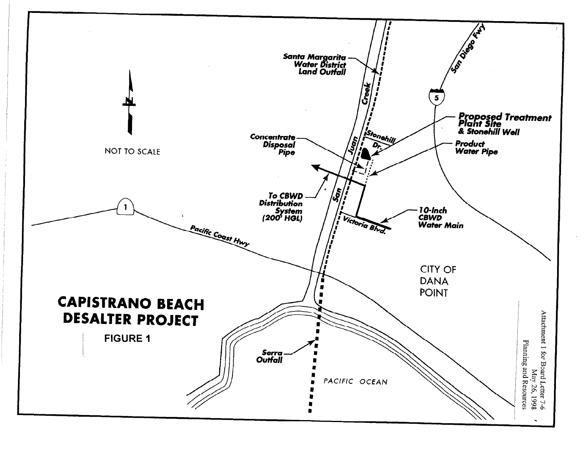